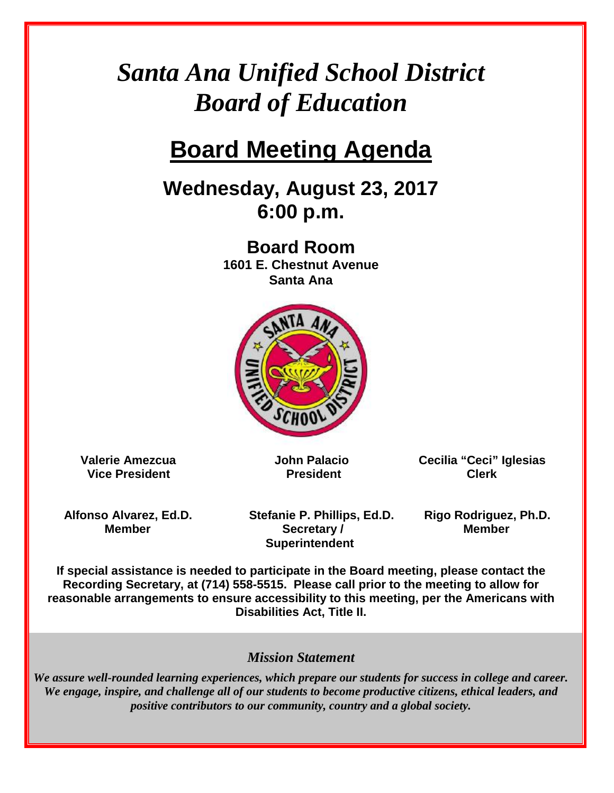# *Santa Ana Unified School District Board of Education*

## **Board Meeting Agenda**

## **Wednesday, August 23, 2017 6:00 p.m.**

**Board Room 1601 E. Chestnut Avenue Santa Ana** 



 **Vice President President Clerk** 

 **Valerie Amezcua John Palacio Cecilia "Ceci" Iglesias** 

 **Alfonso Alvarez, Ed.D. Stefanie P. Phillips, Ed.D. Rigo Rodriguez, Ph.D. Member Secretary / Secretary / Member Superintendent** 

**If special assistance is needed to participate in the Board meeting, please contact the Recording Secretary, at (714) 558-5515. Please call prior to the meeting to allow for reasonable arrangements to ensure accessibility to this meeting, per the Americans with Disabilities Act, Title II.** 

## *Mission Statement*

*We assure well-rounded learning experiences, which prepare our students for success in college and career. We engage, inspire, and challenge all of our students to become productive citizens, ethical leaders, and positive contributors to our community, country and a global society.*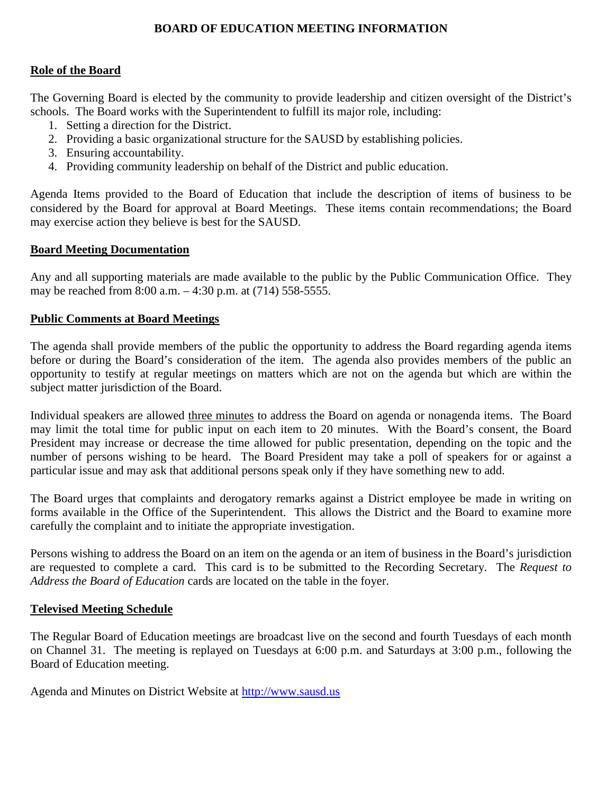## **BOARD OF EDUCATION MEETING INFORMATION**

## **Role of the Board**

The Governing Board is elected by the community to provide leadership and citizen oversight of the District's schools. The Board works with the Superintendent to fulfill its major role, including:

- 1. Setting a direction for the District.
- 2. Providing a basic organizational structure for the SAUSD by establishing policies.
- 3. Ensuring accountability.
- 4. Providing community leadership on behalf of the District and public education.

Agenda Items provided to the Board of Education that include the description of items of business to be considered by the Board for approval at Board Meetings. These items contain recommendations; the Board may exercise action they believe is best for the SAUSD.

## **Board Meeting Documentation**

Any and all supporting materials are made available to the public by the Public Communication Office. They may be reached from 8:00 a.m. – 4:30 p.m. at (714) 558-5555.

## **Public Comments at Board Meetings**

The agenda shall provide members of the public the opportunity to address the Board regarding agenda items before or during the Board's consideration of the item. The agenda also provides members of the public an opportunity to testify at regular meetings on matters which are not on the agenda but which are within the subject matter jurisdiction of the Board.

Individual speakers are allowed three minutes to address the Board on agenda or nonagenda items. The Board may limit the total time for public input on each item to 20 minutes. With the Board's consent, the Board President may increase or decrease the time allowed for public presentation, depending on the topic and the number of persons wishing to be heard. The Board President may take a poll of speakers for or against a particular issue and may ask that additional persons speak only if they have something new to add.

The Board urges that complaints and derogatory remarks against a District employee be made in writing on forms available in the Office of the Superintendent. This allows the District and the Board to examine more carefully the complaint and to initiate the appropriate investigation.

Persons wishing to address the Board on an item on the agenda or an item of business in the Board's jurisdiction are requested to complete a card. This card is to be submitted to the Recording Secretary. The *Request to Address the Board of Education* cards are located on the table in the foyer.

## **Televised Meeting Schedule**

The Regular Board of Education meetings are broadcast live on the second and fourth Tuesdays of each month on Channel 31. The meeting is replayed on Tuesdays at 6:00 p.m. and Saturdays at 3:00 p.m., following the Board of Education meeting.

Agenda and Minutes on District Website at<http://www.sausd.us>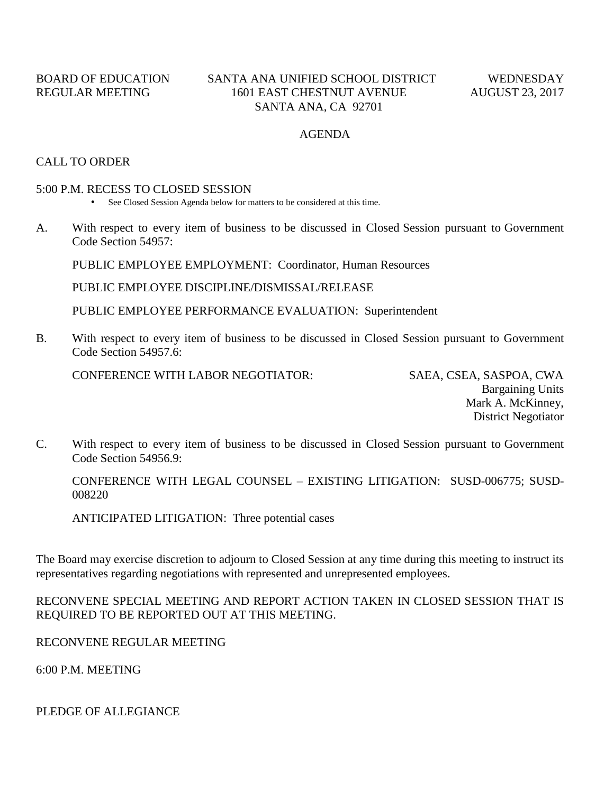## BOARD OF EDUCATION SANTA ANA UNIFIED SCHOOL DISTRICT WEDNESDAY REGULAR MEETING 1601 EAST CHESTNUT AVENUE AUGUST 23, 2017 SANTA ANA, CA 92701

## AGENDA

### CALL TO ORDER

#### 5:00 P.M. RECESS TO CLOSED SESSION

- See Closed Session Agenda below for matters to be considered at this time.
- A. With respect to every item of business to be discussed in Closed Session pursuant to Government Code Section 54957:

PUBLIC EMPLOYEE EMPLOYMENT: Coordinator, Human Resources

PUBLIC EMPLOYEE DISCIPLINE/DISMISSAL/RELEASE

PUBLIC EMPLOYEE PERFORMANCE EVALUATION: Superintendent

B. With respect to every item of business to be discussed in Closed Session pursuant to Government Code Section 54957.6:

CONFERENCE WITH LABOR NEGOTIATOR: SAEA, CSEA, SASPOA, CWA

Bargaining Units Mark A. McKinney, District Negotiator

C. With respect to every item of business to be discussed in Closed Session pursuant to Government Code Section 54956.9:

CONFERENCE WITH LEGAL COUNSEL – EXISTING LITIGATION: SUSD-006775; SUSD-008220

ANTICIPATED LITIGATION: Three potential cases

The Board may exercise discretion to adjourn to Closed Session at any time during this meeting to instruct its representatives regarding negotiations with represented and unrepresented employees.

RECONVENE SPECIAL MEETING AND REPORT ACTION TAKEN IN CLOSED SESSION THAT IS REQUIRED TO BE REPORTED OUT AT THIS MEETING.

RECONVENE REGULAR MEETING

6:00 P.M. MEETING

PLEDGE OF ALLEGIANCE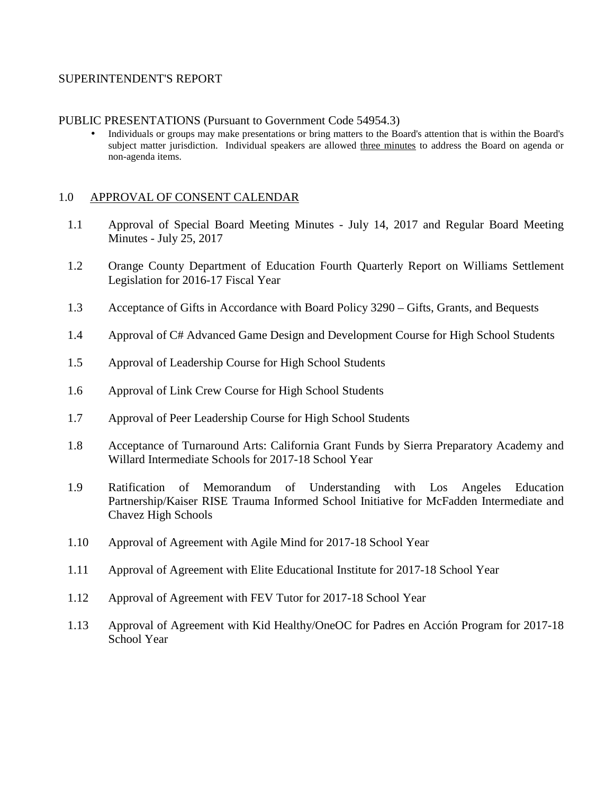#### SUPERINTENDENT'S REPORT

#### PUBLIC PRESENTATIONS (Pursuant to Government Code 54954.3)

• Individuals or groups may make presentations or bring matters to the Board's attention that is within the Board's subject matter jurisdiction. Individual speakers are allowed three minutes to address the Board on agenda or non-agenda items.

#### 1.0 APPROVAL OF CONSENT CALENDAR

- 1.1 Approval of Special Board Meeting Minutes July 14, 2017 and Regular Board Meeting Minutes - July 25, 2017
- 1.2 Orange County Department of Education Fourth Quarterly Report on Williams Settlement Legislation for 2016-17 Fiscal Year
- 1.3 Acceptance of Gifts in Accordance with Board Policy 3290 Gifts, Grants, and Bequests
- 1.4 Approval of C# Advanced Game Design and Development Course for High School Students
- 1.5 Approval of Leadership Course for High School Students
- 1.6 Approval of Link Crew Course for High School Students
- 1.7 Approval of Peer Leadership Course for High School Students
- 1.8 Acceptance of Turnaround Arts: California Grant Funds by Sierra Preparatory Academy and Willard Intermediate Schools for 2017-18 School Year
- 1.9 Ratification of Memorandum of Understanding with Los Angeles Education Partnership/Kaiser RISE Trauma Informed School Initiative for McFadden Intermediate and Chavez High Schools
- 1.10 Approval of Agreement with Agile Mind for 2017-18 School Year
- 1.11 Approval of Agreement with Elite Educational Institute for 2017-18 School Year
- 1.12 Approval of Agreement with FEV Tutor for 2017-18 School Year
- 1.13 Approval of Agreement with Kid Healthy/OneOC for Padres en Acción Program for 2017-18 School Year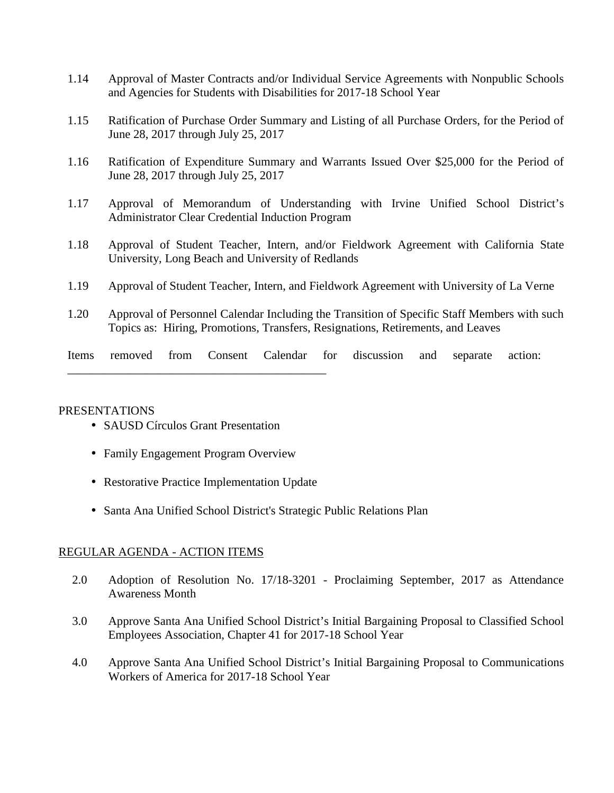- 1.14 Approval of Master Contracts and/or Individual Service Agreements with Nonpublic Schools and Agencies for Students with Disabilities for 2017-18 School Year
- 1.15 Ratification of Purchase Order Summary and Listing of all Purchase Orders, for the Period of June 28, 2017 through July 25, 2017
- 1.16 Ratification of Expenditure Summary and Warrants Issued Over \$25,000 for the Period of June 28, 2017 through July 25, 2017
- 1.17 Approval of Memorandum of Understanding with Irvine Unified School District's Administrator Clear Credential Induction Program
- 1.18 Approval of Student Teacher, Intern, and/or Fieldwork Agreement with California State University, Long Beach and University of Redlands
- 1.19 Approval of Student Teacher, Intern, and Fieldwork Agreement with University of La Verne
- 1.20 Approval of Personnel Calendar Including the Transition of Specific Staff Members with such Topics as: Hiring, Promotions, Transfers, Resignations, Retirements, and Leaves
- Items removed from Consent Calendar for discussion and separate action:

## PRESENTATIONS

- SAUSD Círculos Grant Presentation
- Family Engagement Program Overview

\_\_\_\_\_\_\_\_\_\_\_\_\_\_\_\_\_\_\_\_\_\_\_\_\_\_\_\_\_\_\_\_\_\_\_\_\_\_\_\_\_\_\_

- Restorative Practice Implementation Update
- Santa Ana Unified School District's Strategic Public Relations Plan

## REGULAR AGENDA - ACTION ITEMS

- 2.0 Adoption of Resolution No. 17/18-3201 Proclaiming September, 2017 as Attendance Awareness Month
- 3.0 Approve Santa Ana Unified School District's Initial Bargaining Proposal to Classified School Employees Association, Chapter 41 for 2017-18 School Year
- 4.0 Approve Santa Ana Unified School District's Initial Bargaining Proposal to Communications Workers of America for 2017-18 School Year